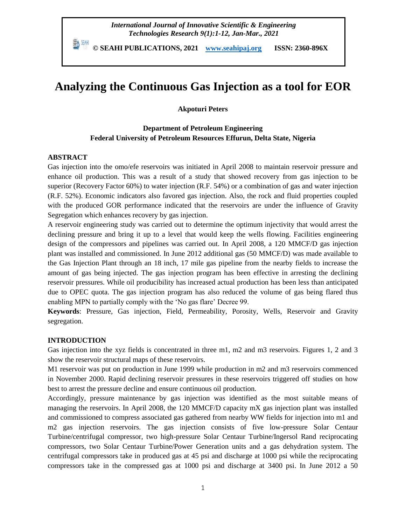## *International Journal of Innovative Scientific & Engineering Technologies Research 9(1):1-12, Jan-Mar., 2021*

 **© SEAHI PUBLICATIONS, 2021 [www.seahipaj.org](http://www.seahipaj.org/) ISSN: 2360-896X**

# **Analyzing the Continuous Gas Injection as a tool for EOR**

**Akpoturi Peters**

## **Department of Petroleum Engineering Federal University of Petroleum Resources Effurun, Delta State, Nigeria**

## **ABSTRACT**

Gas injection into the omo/efe reservoirs was initiated in April 2008 to maintain reservoir pressure and enhance oil production. This was a result of a study that showed recovery from gas injection to be superior (Recovery Factor 60%) to water injection (R.F. 54%) or a combination of gas and water injection (R.F. 52%). Economic indicators also favored gas injection. Also, the rock and fluid properties coupled with the produced GOR performance indicated that the reservoirs are under the influence of Gravity Segregation which enhances recovery by gas injection.

A reservoir engineering study was carried out to determine the optimum injectivity that would arrest the declining pressure and bring it up to a level that would keep the wells flowing. Facilities engineering design of the compressors and pipelines was carried out. In April 2008, a 120 MMCF/D gas injection plant was installed and commissioned. In June 2012 additional gas (50 MMCF/D) was made available to the Gas Injection Plant through an 18 inch, 17 mile gas pipeline from the nearby fields to increase the amount of gas being injected. The gas injection program has been effective in arresting the declining reservoir pressures. While oil producibility has increased actual production has been less than anticipated due to OPEC quota. The gas injection program has also reduced the volume of gas being flared thus enabling MPN to partially comply with the 'No gas flare' Decree 99.

**Keywords**: Pressure, Gas injection, Field, Permeability, Porosity, Wells, Reservoir and Gravity segregation.

## **INTRODUCTION**

Gas injection into the xyz fields is concentrated in three m1, m2 and m3 reservoirs. Figures 1, 2 and 3 show the reservoir structural maps of these reservoirs.

M1 reservoir was put on production in June 1999 while production in m2 and m3 reservoirs commenced in November 2000. Rapid declining reservoir pressures in these reservoirs triggered off studies on how best to arrest the pressure decline and ensure continuous oil production.

Accordingly, pressure maintenance by gas injection was identified as the most suitable means of managing the reservoirs. In April 2008, the 120 MMCF/D capacity mX gas injection plant was installed and commissioned to compress associated gas gathered from nearby WW fields for injection into m1 and m2 gas injection reservoirs. The gas injection consists of five low-pressure Solar Centaur Turbine/centrifugal compressor, two high-pressure Solar Centaur Turbine/Ingersol Rand reciprocating compressors, two Solar Centaur Turbine/Power Generation units and a gas dehydration system. The centrifugal compressors take in produced gas at 45 psi and discharge at 1000 psi while the reciprocating compressors take in the compressed gas at 1000 psi and discharge at 3400 psi. In June 2012 a 50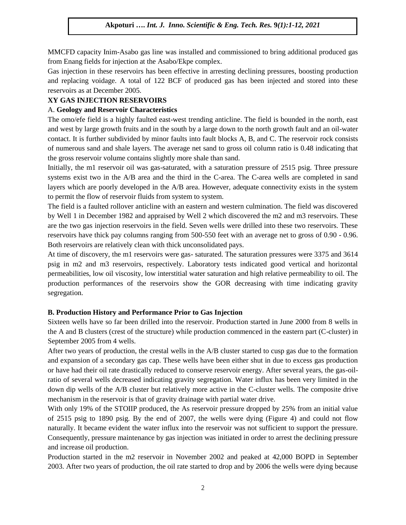MMCFD capacity Inim-Asabo gas line was installed and commissioned to bring additional produced gas from Enang fields for injection at the Asabo/Ekpe complex.

Gas injection in these reservoirs has been effective in arresting declining pressures, boosting production and replacing voidage. A total of 122 BCF of produced gas has been injected and stored into these reservoirs as at December 2005.

## **XY GAS INJECTION RESERVOIRS**

## A. **Geology and Reservoir Characteristics**

The omo/efe field is a highly faulted east-west trending anticline. The field is bounded in the north, east and west by large growth fruits and in the south by a large down to the north growth fault and an oil-water contact. It is further subdivided by minor faults into fault blocks A, B, and C. The reservoir rock consists of numerous sand and shale layers. The average net sand to gross oil column ratio is 0.48 indicating that the gross reservoir volume contains slightly more shale than sand.

Initially, the m1 reservoir oil was gas-saturated, with a saturation pressure of 2515 psig. Three pressure systems exist two in the A/B area and the third in the C-area. The C-area wells are completed in sand layers which are poorly developed in the A/B area. However, adequate connectivity exists in the system to permit the flow of reservoir fluids from system to system.

The field is a faulted rollover anticline with an eastern and western culmination. The field was discovered by Well 1 in December 1982 and appraised by Well 2 which discovered the m2 and m3 reservoirs. These are the two gas injection reservoirs in the field. Seven wells were drilled into these two reservoirs. These reservoirs have thick pay columns ranging from 500-550 feet with an average net to gross of 0.90 - 0.96. Both reservoirs are relatively clean with thick unconsolidated pays.

At time of discovery, the m1 reservoirs were gas- saturated. The saturation pressures were 3375 and 3614 psig in m2 and m3 reservoirs, respectively. Laboratory tests indicated good vertical and horizontal permeabilities, low oil viscosity, low interstitial water saturation and high relative permeability to oil. The production performances of the reservoirs show the GOR decreasing with time indicating gravity segregation.

## **B. Production History and Performance Prior to Gas Injection**

Sixteen wells have so far been drilled into the reservoir. Production started in June 2000 from 8 wells in the A and B clusters (crest of the structure) while production commenced in the eastern part (C-cluster) in September 2005 from 4 wells.

After two years of production, the crestal wells in the A/B cluster started to cusp gas due to the formation and expansion of a secondary gas cap. These wells have been either shut in due to excess gas production or have had their oil rate drastically reduced to conserve reservoir energy. After several years, the gas-oilratio of several wells decreased indicating gravity segregation. Water influx has been very limited in the down dip wells of the A/B cluster but relatively more active in the C-cluster wells. The composite drive mechanism in the reservoir is that of gravity drainage with partial water drive.

With only 19% of the STOIIP produced, the As reservoir pressure dropped by 25% from an initial value of 2515 psig to 1890 psig. By the end of 2007, the wells were dying (Figure 4) and could not flow naturally. It became evident the water influx into the reservoir was not sufficient to support the pressure. Consequently, pressure maintenance by gas injection was initiated in order to arrest the declining pressure and increase oil production.

Production started in the m2 reservoir in November 2002 and peaked at 42,000 BOPD in September 2003. After two years of production, the oil rate started to drop and by 2006 the wells were dying because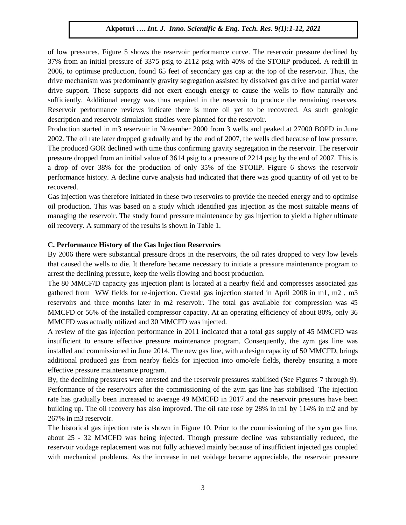of low pressures. Figure 5 shows the reservoir performance curve. The reservoir pressure declined by 37% from an initial pressure of 3375 psig to 2112 psig with 40% of the STOIIP produced. A redrill in 2006, to optimise production, found 65 feet of secondary gas cap at the top of the reservoir. Thus, the drive mechanism was predominantly gravity segregation assisted by dissolved gas drive and partial water drive support. These supports did not exert enough energy to cause the wells to flow naturally and sufficiently. Additional energy was thus required in the reservoir to produce the remaining reserves. Reservoir performance reviews indicate there is more oil yet to be recovered. As such geologic description and reservoir simulation studies were planned for the reservoir.

Production started in m3 reservoir in November 2000 from 3 wells and peaked at 27000 BOPD in June 2002. The oil rate later dropped gradually and by the end of 2007, the wells died because of low pressure. The produced GOR declined with time thus confirming gravity segregation in the reservoir. The reservoir pressure dropped from an initial value of 3614 psig to a pressure of 2214 psig by the end of 2007. This is a drop of over 38% for the production of only 35% of the STOIIP. Figure 6 shows the reservoir performance history. A decline curve analysis had indicated that there was good quantity of oil yet to be recovered.

Gas injection was therefore initiated in these two reservoirs to provide the needed energy and to optimise oil production. This was based on a study which identified gas injection as the most suitable means of managing the reservoir. The study found pressure maintenance by gas injection to yield a higher ultimate oil recovery. A summary of the results is shown in Table 1.

## **C. Performance History of the Gas Injection Reservoirs**

By 2006 there were substantial pressure drops in the reservoirs, the oil rates dropped to very low levels that caused the wells to die. It therefore became necessary to initiate a pressure maintenance program to arrest the declining pressure, keep the wells flowing and boost production.

The 80 MMCF/D capacity gas injection plant is located at a nearby field and compresses associated gas gathered from WW fields for re-injection. Crestal gas injection started in April 2008 in m1, m2 , m3 reservoirs and three months later in m2 reservoir. The total gas available for compression was 45 MMCFD or 56% of the installed compressor capacity. At an operating efficiency of about 80%, only 36 MMCFD was actually utilized and 30 MMCFD was injected.

A review of the gas injection performance in 2011 indicated that a total gas supply of 45 MMCFD was insufficient to ensure effective pressure maintenance program. Consequently, the zym gas line was installed and commissioned in June 2014. The new gas line, with a design capacity of 50 MMCFD, brings additional produced gas from nearby fields for injection into omo/efe fields, thereby ensuring a more effective pressure maintenance program.

By, the declining pressures were arrested and the reservoir pressures stabilised (See Figures 7 through 9). Performance of the reservoirs after the commissioning of the zym gas line has stabilised. The injection rate has gradually been increased to average 49 MMCFD in 2017 and the reservoir pressures have been building up. The oil recovery has also improved. The oil rate rose by 28% in m1 by 114% in m2 and by 267% in m3 reservoir.

The historical gas injection rate is shown in Figure 10. Prior to the commissioning of the xym gas line, about 25 - 32 MMCFD was being injected. Though pressure decline was substantially reduced, the reservoir voidage replacement was not fully achieved mainly because of insufficient injected gas coupled with mechanical problems. As the increase in net voidage became appreciable, the reservoir pressure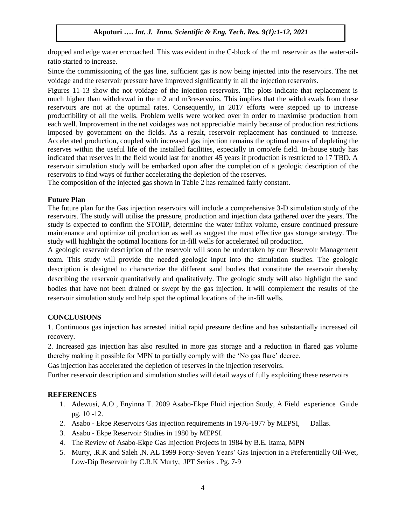dropped and edge water encroached. This was evident in the C-block of the m1 reservoir as the water-oilratio started to increase.

Since the commissioning of the gas line, sufficient gas is now being injected into the reservoirs. The net voidage and the reservoir pressure have improved significantly in all the injection reservoirs.

Figures 11-13 show the not voidage of the injection reservoirs. The plots indicate that replacement is much higher than withdrawal in the m2 and m3reservoirs. This implies that the withdrawals from these reservoirs are not at the optimal rates. Consequently, in 2017 efforts were stepped up to increase productibility of all the wells. Problem wells were worked over in order to maximise production from each well. Improvement in the net voidages was not appreciable mainly because of production restrictions imposed by government on the fields. As a result, reservoir replacement has continued to increase. Accelerated production, coupled with increased gas injection remains the optimal means of depleting the reserves within the useful life of the installed facilities, especially in omo/efe field. In-house study has indicated that reserves in the field would last for another 45 years if production is restricted to 17 TBD. A reservoir simulation study will be embarked upon after the completion of a geologic description of the reservoirs to find ways of further accelerating the depletion of the reserves.

The composition of the injected gas shown in Table 2 has remained fairly constant.

#### **Future Plan**

The future plan for the Gas injection reservoirs will include a comprehensive 3-D simulation study of the reservoirs. The study will utilise the pressure, production and injection data gathered over the years. The study is expected to confirm the STOIIP, determine the water influx volume, ensure continued pressure maintenance and optimize oil production as well as suggest the most effective gas storage strategy. The study will highlight the optimal locations for in-fill wells for accelerated oil production.

A geologic reservoir description of the reservoir will soon be undertaken by our Reservoir Management team. This study will provide the needed geologic input into the simulation studies. The geologic description is designed to characterize the different sand bodies that constitute the reservoir thereby describing the reservoir quantitatively and qualitatively. The geologic study will also highlight the sand bodies that have not been drained or swept by the gas injection. It will complement the results of the reservoir simulation study and help spot the optimal locations of the in-fill wells.

## **CONCLUSIONS**

1. Continuous gas injection has arrested initial rapid pressure decline and has substantially increased oil recovery.

2. Increased gas injection has also resulted in more gas storage and a reduction in flared gas volume thereby making it possible for MPN to partially comply with the 'No gas flare' decree.

Gas injection has accelerated the depletion of reserves in the injection reservoirs.

Further reservoir description and simulation studies will detail ways of fully exploiting these reservoirs

## **REFERENCES**

- 1. Adewusi, A.O , Enyinna T. 2009 Asabo-Ekpe Fluid injection Study, A Field experience Guide pg. 10 -12.
- 2. Asabo Ekpe Reservoirs Gas injection requirements in 1976-1977 by MEPSI, Dallas.
- 3. Asabo Ekpe Reservoir Studies in 1980 by MEPSI.
- 4. The Review of Asabo-Ekpe Gas Injection Projects in 1984 by B.E. Itama, MPN
- 5. Murty, .R.K and Saleh ,N. AL 1999 Forty-Seven Years' Gas Injection in a Preferentially Oil-Wet, Low-Dip Reservoir by C.R.K Murty, JPT Series . Pg. 7-9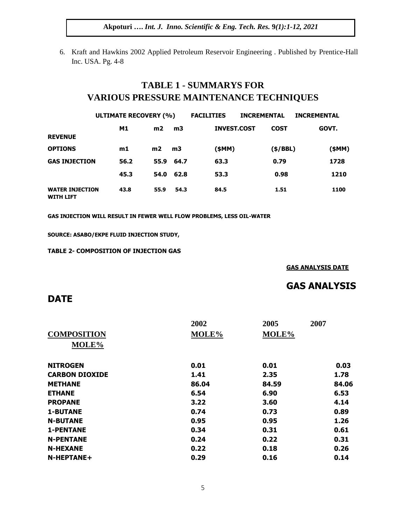6. Kraft and Hawkins 2002 Applied Petroleum Reservoir Engineering . Published by Prentice-Hall Inc. USA. Pg. 4-8

## **TABLE 1 - SUMMARYS FOR VARIOUS PRESSURE MAINTENANCE TECHNIQUES**

|                                            | <b>ULTIMATE RECOVERY (%)</b> |      |           | <b>FACILITIES</b>  | <b>INCREMENTAL</b> |             | <b>INCREMENTAL</b> |
|--------------------------------------------|------------------------------|------|-----------|--------------------|--------------------|-------------|--------------------|
|                                            | M1                           | m2   | m3        | <b>INVEST.COST</b> |                    | <b>COST</b> | GOVT.              |
| <b>REVENUE</b>                             |                              |      |           |                    |                    |             |                    |
| <b>OPTIONS</b>                             | m1                           | m2   | m3        | (\$MM)             |                    | (\$/BBL)    | (\$MM)             |
| <b>GAS INJECTION</b>                       | 56.2                         |      | 55.9 64.7 | 63.3               |                    | 0.79        | 1728               |
|                                            | 45.3                         | 54.0 | 62.8      | 53.3               |                    | 0.98        | 1210               |
| <b>WATER INJECTION</b><br><b>WITH LIFT</b> | 43.8                         | 55.9 | 54.3      | 84.5               |                    | 1.51        | 1100               |

**GAS INJECTION WILL RESULT IN FEWER WELL FLOW PROBLEMS, LESS OIL-WATER**

**SOURCE: ASABO/EKPE FLUID INJECTION STUDY,** 

**TABLE 2- COMPOSITION OF INJECTION GAS**

**GAS ANALYSIS DATE**

## **GAS ANALYSIS**

## **DATE**

|                       | 2002  | 2005  | 2007  |
|-----------------------|-------|-------|-------|
| <b>COMPOSITION</b>    | MOLE% | MOLE% |       |
| MOLE%                 |       |       |       |
| <b>NITROGEN</b>       | 0.01  | 0.01  | 0.03  |
| <b>CARBON DIOXIDE</b> | 1.41  | 2.35  | 1.78  |
| <b>METHANE</b>        | 86.04 | 84.59 | 84.06 |
| <b>ETHANE</b>         | 6.54  | 6.90  | 6.53  |
| <b>PROPANE</b>        | 3.22  | 3.60  | 4.14  |
| <b>1-BUTANE</b>       | 0.74  | 0.73  | 0.89  |
| <b>N-BUTANE</b>       | 0.95  | 0.95  | 1.26  |
| <b>1-PENTANE</b>      | 0.34  | 0.31  | 0.61  |
| <b>N-PENTANE</b>      | 0.24  | 0.22  | 0.31  |
| <b>N-HEXANE</b>       | 0.22  | 0.18  | 0.26  |
| $N$ -HEPTANE+         | 0.29  | 0.16  | 0.14  |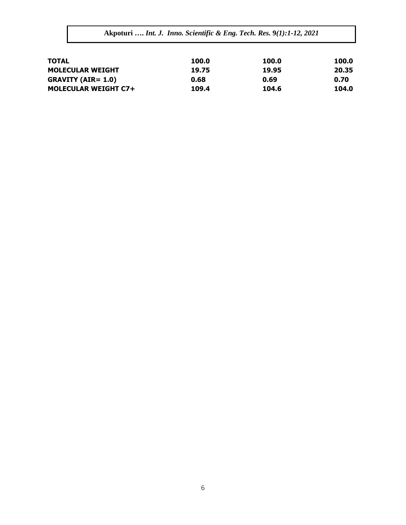| 100.0 |
|-------|
| 20.35 |
| 0.70  |
| 104.0 |
|       |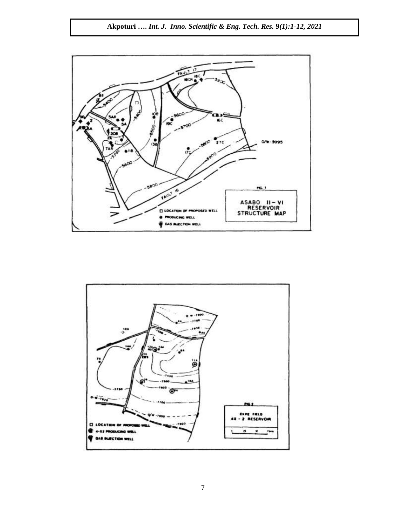

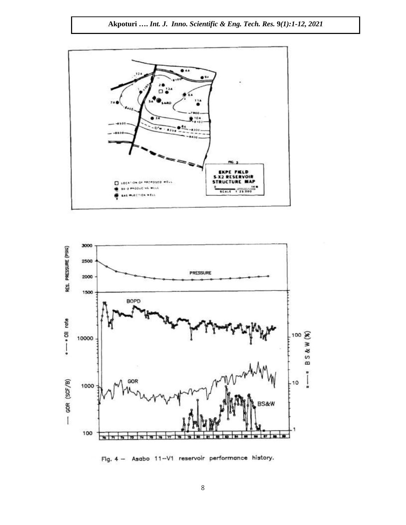



Fig. 4 - Asabo 11-V1 reservoir performance history.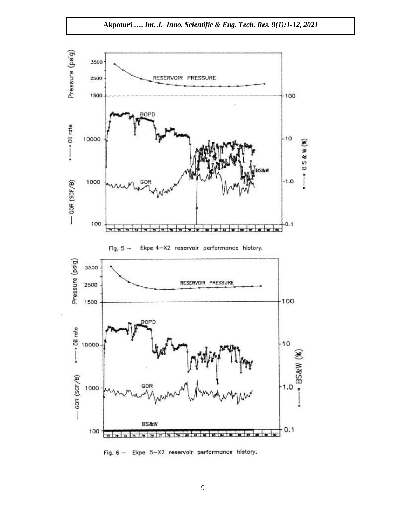

Fig. 6 - Ekpe 5-X2 reservoir performance history.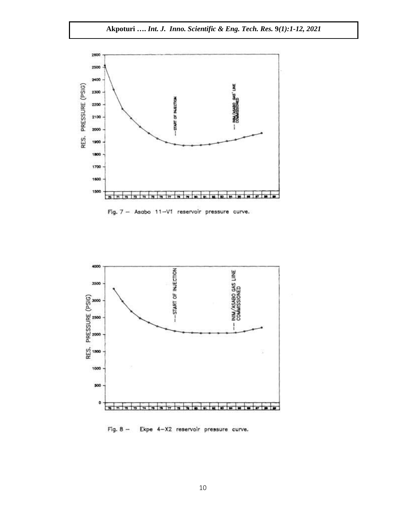

Fig. 7 - Asabo 11-V1 reservoir pressure curve.



Fig. 8 - Ekpe 4-X2 reservoir pressure curve.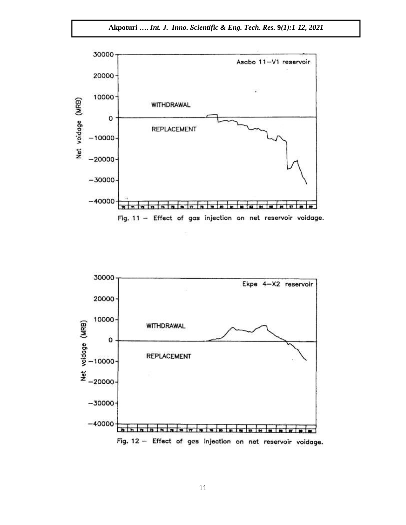Akpoturi .... Int. J. Inno. Scientific & Eng. Tech. Res. 9(1):1-12, 2021